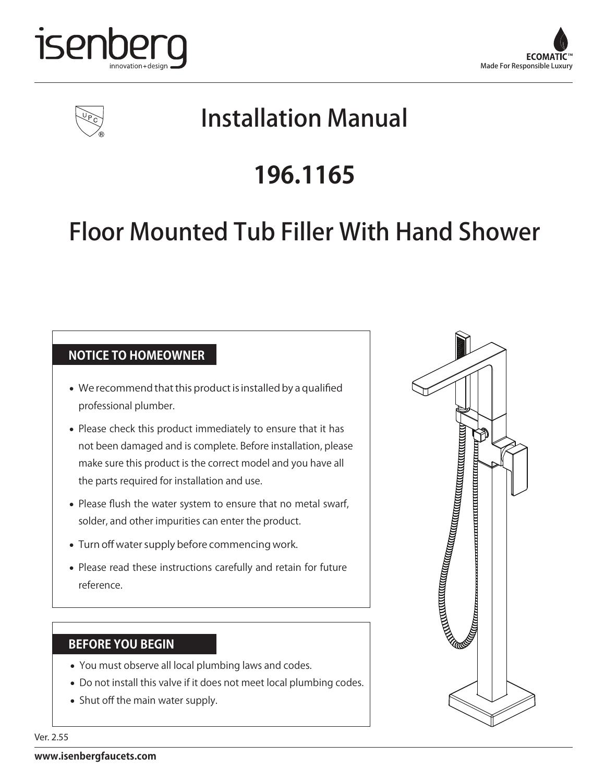





# Installation Manual

# **196.1165**

# Floor Mounted Tub Filler With Hand Shower

#### **NOTICE TO HOMEOWNER**

- We recommend that this product is installed by a qualified professional plumber.
- Please check this product immediately to ensure that it has not been damaged and is complete. Before installation, please make sure this product is the correct model and you have all the parts required for installation and use.
- Please flush the water system to ensure that no metal swarf, solder, and other impurities can enter the product.
- Turn off water supply before commencing work.
- Please read these instructions carefully and retain for future reference.

#### **BEFORE YOU BEGIN**

- You must observe all local plumbing laws and codes.
- Do not install this valve if it does not meet local plumbing codes.
- Shut off the main water supply.



Ver. 2.55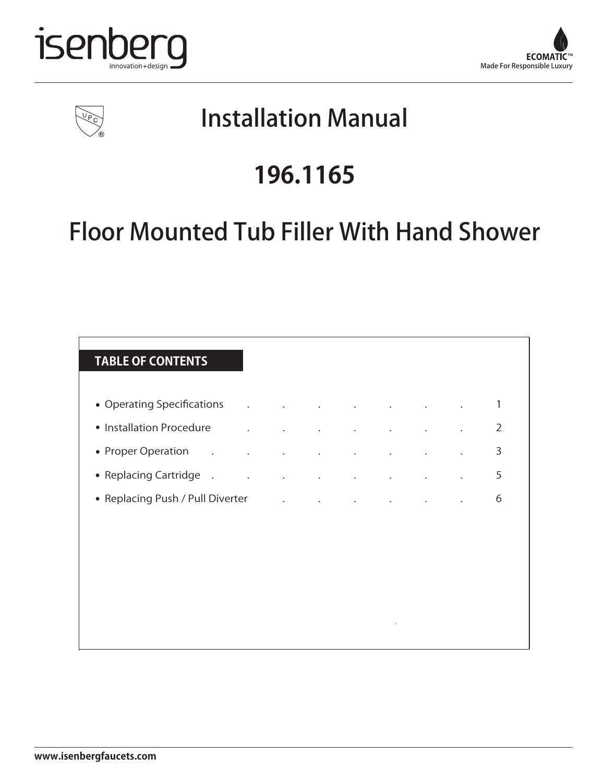





# Installation Manual

# **196.1165**

# Floor Mounted Tub Filler With Hand Shower

| <b>TABLE OF CONTENTS</b>                                              |                                                                                                                             |                      |                      |           |  |                |
|-----------------------------------------------------------------------|-----------------------------------------------------------------------------------------------------------------------------|----------------------|----------------------|-----------|--|----------------|
|                                                                       |                                                                                                                             |                      |                      |           |  | 1              |
| • Installation Procedure                                              | <b>Contractor</b>                                                                                                           |                      |                      |           |  | $\overline{2}$ |
| • Proper Operation<br>$\mathcal{L}_{\bullet}$<br>$\ddot{\phantom{0}}$ | <b>Contractor</b>                                                                                                           | $\ddot{\phantom{a}}$ | $\ddot{\phantom{a}}$ |           |  | 3              |
| • Replacing Cartridge                                                 | $\mathcal{L}^{\text{max}}_{\text{max}}$ , where $\mathcal{L}^{\text{max}}_{\text{max}}$                                     |                      |                      |           |  | 5              |
| • Replacing Push / Pull Diverter                                      | $\mathcal{L}^{\mathcal{L}}$ and $\mathcal{L}^{\mathcal{L}}$ and $\mathcal{L}^{\mathcal{L}}$ and $\mathcal{L}^{\mathcal{L}}$ |                      | $\bullet$            | $\bullet$ |  | 6              |
|                                                                       |                                                                                                                             |                      |                      |           |  |                |
|                                                                       |                                                                                                                             |                      |                      |           |  |                |
|                                                                       |                                                                                                                             |                      |                      |           |  |                |
|                                                                       |                                                                                                                             |                      |                      |           |  |                |
|                                                                       |                                                                                                                             |                      |                      |           |  |                |
|                                                                       |                                                                                                                             |                      |                      |           |  |                |

 $\ddot{\phantom{0}}$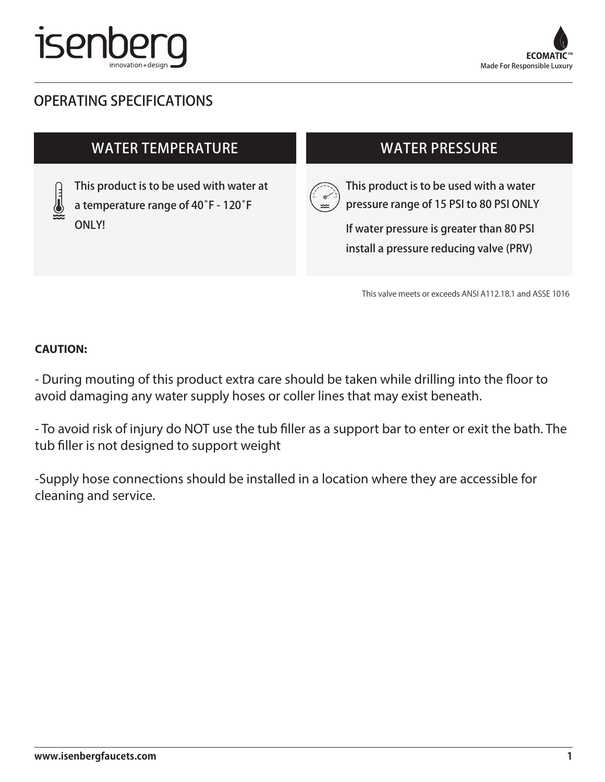



### OPERATING SPECIFICATIONS

### WATER TEMPERATURE

This product is to be used with water at a temperature range of 40̊F - 120̊F ONLY!

### WATER PRESSURE



This product is to be used with a water pressure range of 15 PSI to 80 PSI ONLY

If water pressure is greater than 80 PSI install a pressure reducing valve (PRV)

This valve meets or exceeds ANSI A112.18.1 and ASSE 1016

#### **CAUTION:**

- During mouting of this product extra care should be taken while drilling into the floor to avoid damaging any water supply hoses or coller lines that may exist beneath.

- To avoid risk of injury do NOT use the tub filler as a support bar to enter or exit the bath. The tub filler is not designed to support weight

-Supply hose connections should be installed in a location where they are accessible for cleaning and service.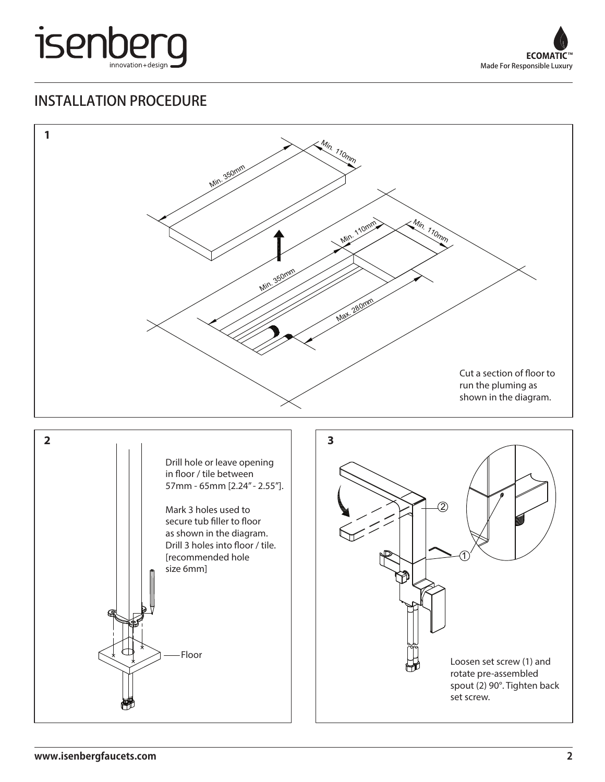



### INSTALLATION PROCEDURE

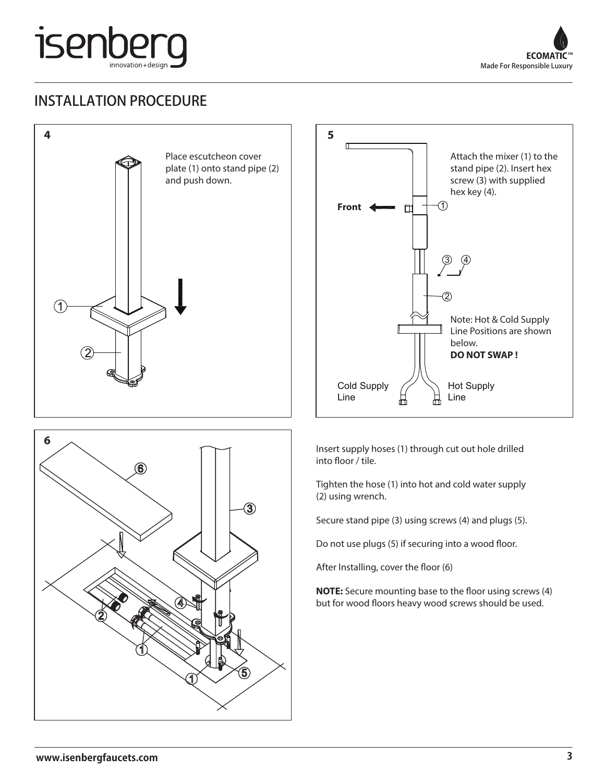

### INSTALLATION PROCEDURE







Insert supply hoses (1) through cut out hole drilled into floor / tile.

Tighten the hose (1) into hot and cold water supply (2) using wrench.

Secure stand pipe (3) using screws (4) and plugs (5).

Do not use plugs (5) if securing into a wood floor.

After Installing, cover the floor (6)

**NOTE:** Secure mounting base to the floor using screws (4) but for wood floors heavy wood screws should be used.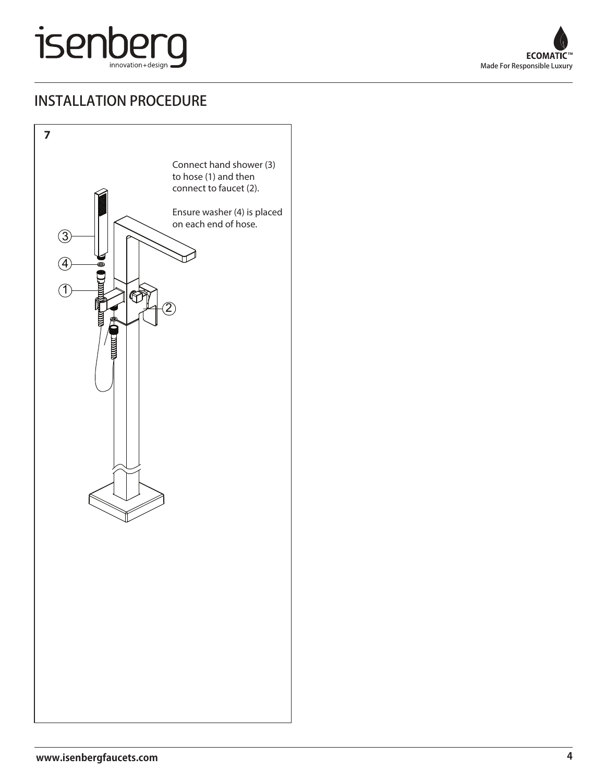## isenberg innovation+design

### INSTALLATION PROCEDURE



 $\ddot{\phantom{0}}$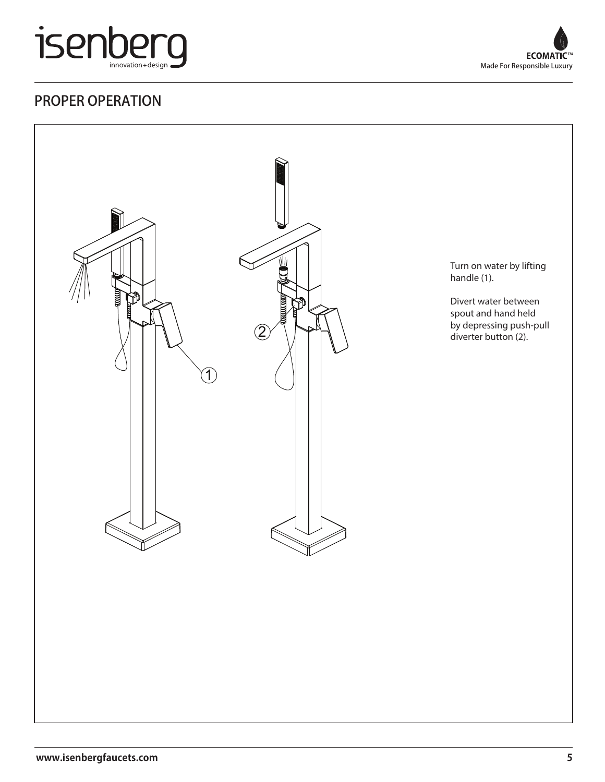



### PROPER OPERATION



 $\bar{\mathcal{A}}$